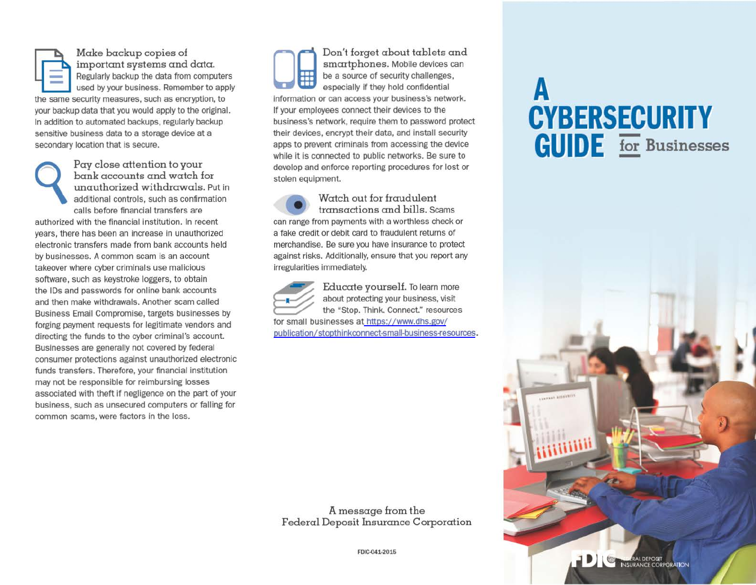Make backup copies of important systems and data. Regularly backup the data from computers used by your business. Remember to apply the same security measures, such as encryption, to your backup data that you would apply to the original. In addition to automated backups, regularly backup sensitive business data to a storage device at a secondary location that is secure.

Pay close attention to your<br>
bank accounts and watch for<br>
unauthorized withdrawals. Put in<br>
additional controls, such as confirmation bank accounts and watch for unauthorized withdrawals. Put in calls before financial transfers are

authorized with the financial institution. In recent years, there has been an increase in unauthorized electronic transfers made from bank accounts held by businesses. A common scam is an account takeover where cyber criminals use malicious software, such as keystroke loggers, to obtain the IDs and passwords for online bank accounts and then make withdrawals. Another scam called Business Email Compromise, targets businesses by forging payment requests for legitimate vendors and directing the funds to the cyber criminal's account. Businesses are generally not covered by federal consumer protections against unauthorized electronic funds transfers. Therefore, your financial institution may not be responsible for reimbursing losses associated with theft if negligence on the part of your business, such as unsecured computers or falling for common scams, were factors in the loss.

Don't forget about tablets and<br>
smartphones. Mobile devices can<br>
be a source of security challenges,<br>
sepecially if they hold confidential<br>
information or can access your business's network. especially if they hold oonfidential information or can access your business's network. If your employees oonnect their devices to the business's network, require them to password protect their devices, encrypt their data, and install security apps to prevent criminals from accessing the device while it is connected to public networks. Be sure to develop and enforce reporting procedures for lost or stolen equipment.

• Watch out for fraudulent transactions and bills. Scams can range from payments with a worthless check or a fake credit or debit card to fraudulent returns of merchandise. Be sure you have insurance to protect against risks. Additionally, ensure that you report any irregularities immediately.



Educate yourself. To learn more about protecting your business, visit the "Stop. Think. Connect." resources for small businesses at https://www.dhs.gov/ [publication/ stopthinkoonnect-small-business-fesources](https://www.dhs.gov/publication/stopthinkconnect-small-business-resources).

A message from the Federal Deposit Insurance Corporation

## fDIC.041·201S

## **A CYBERSECURITY GUIDE For** Businesses